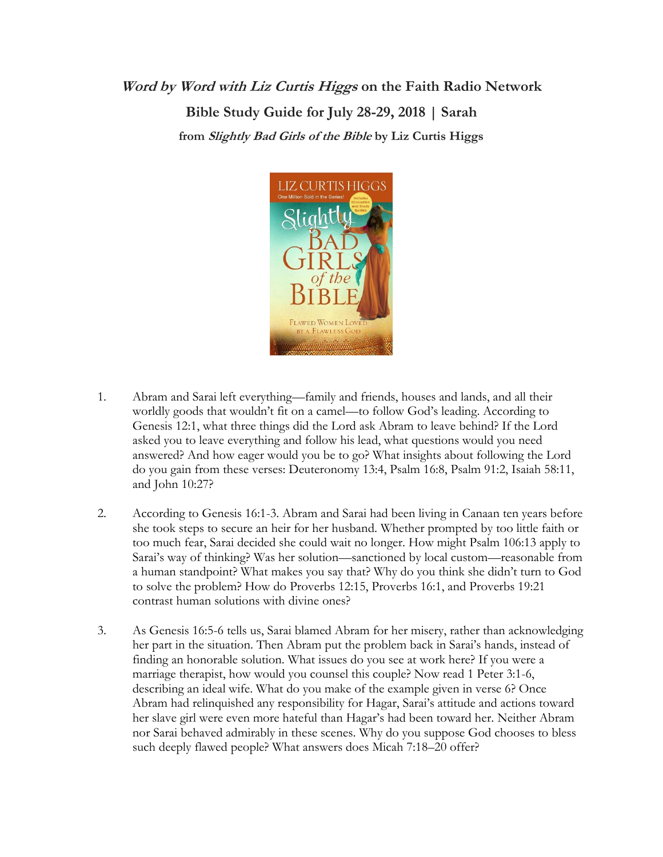**Word by Word with Liz Curtis Higgs on the Faith Radio Network Bible Study Guide for July 28-29, 2018 | Sarah from Slightly Bad Girls of the Bible by Liz Curtis Higgs**



- 1. Abram and Sarai left everything—family and friends, houses and lands, and all their worldly goods that wouldn't fit on a camel—to follow God's leading. According to Genesis 12:1, what three things did the Lord ask Abram to leave behind? If the Lord asked you to leave everything and follow his lead, what questions would you need answered? And how eager would you be to go? What insights about following the Lord do you gain from these verses: Deuteronomy 13:4, Psalm 16:8, Psalm 91:2, Isaiah 58:11, and John 10:27?
- 2. According to Genesis 16:1-3. Abram and Sarai had been living in Canaan ten years before she took steps to secure an heir for her husband. Whether prompted by too little faith or too much fear, Sarai decided she could wait no longer. How might Psalm 106:13 apply to Sarai's way of thinking? Was her solution—sanctioned by local custom—reasonable from a human standpoint? What makes you say that? Why do you think she didn't turn to God to solve the problem? How do Proverbs 12:15, Proverbs 16:1, and Proverbs 19:21 contrast human solutions with divine ones?
- 3. As Genesis 16:5-6 tells us, Sarai blamed Abram for her misery, rather than acknowledging her part in the situation. Then Abram put the problem back in Sarai's hands, instead of finding an honorable solution. What issues do you see at work here? If you were a marriage therapist, how would you counsel this couple? Now read 1 Peter 3:1-6, describing an ideal wife. What do you make of the example given in verse 6? Once Abram had relinquished any responsibility for Hagar, Sarai's attitude and actions toward her slave girl were even more hateful than Hagar's had been toward her. Neither Abram nor Sarai behaved admirably in these scenes. Why do you suppose God chooses to bless such deeply flawed people? What answers does Micah 7:18–20 offer?